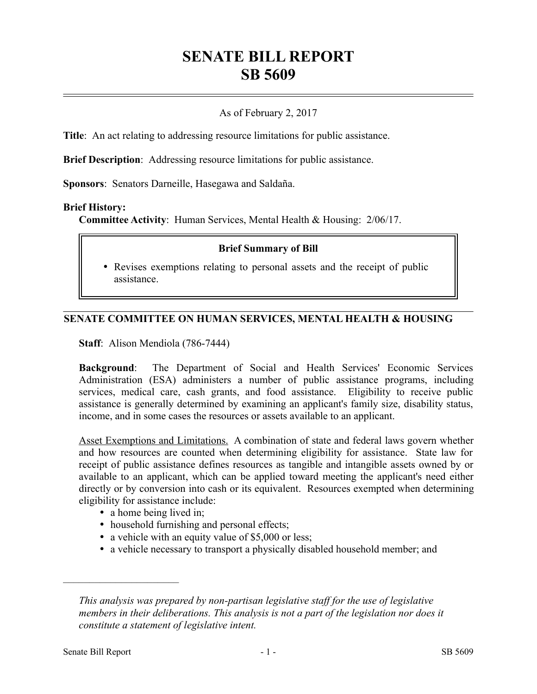# **SENATE BILL REPORT SB 5609**

## As of February 2, 2017

**Title**: An act relating to addressing resource limitations for public assistance.

**Brief Description**: Addressing resource limitations for public assistance.

**Sponsors**: Senators Darneille, Hasegawa and Saldaña.

#### **Brief History:**

**Committee Activity**: Human Services, Mental Health & Housing: 2/06/17.

### **Brief Summary of Bill**

 Revises exemptions relating to personal assets and the receipt of public assistance.

### **SENATE COMMITTEE ON HUMAN SERVICES, MENTAL HEALTH & HOUSING**

**Staff**: Alison Mendiola (786-7444)

**Background**: The Department of Social and Health Services' Economic Services Administration (ESA) administers a number of public assistance programs, including services, medical care, cash grants, and food assistance. Eligibility to receive public assistance is generally determined by examining an applicant's family size, disability status, income, and in some cases the resources or assets available to an applicant.

Asset Exemptions and Limitations. A combination of state and federal laws govern whether and how resources are counted when determining eligibility for assistance. State law for receipt of public assistance defines resources as tangible and intangible assets owned by or available to an applicant, which can be applied toward meeting the applicant's need either directly or by conversion into cash or its equivalent. Resources exempted when determining eligibility for assistance include:

- a home being lived in;
- household furnishing and personal effects;
- a vehicle with an equity value of \$5,000 or less;
- a vehicle necessary to transport a physically disabled household member; and

––––––––––––––––––––––

*This analysis was prepared by non-partisan legislative staff for the use of legislative members in their deliberations. This analysis is not a part of the legislation nor does it constitute a statement of legislative intent.*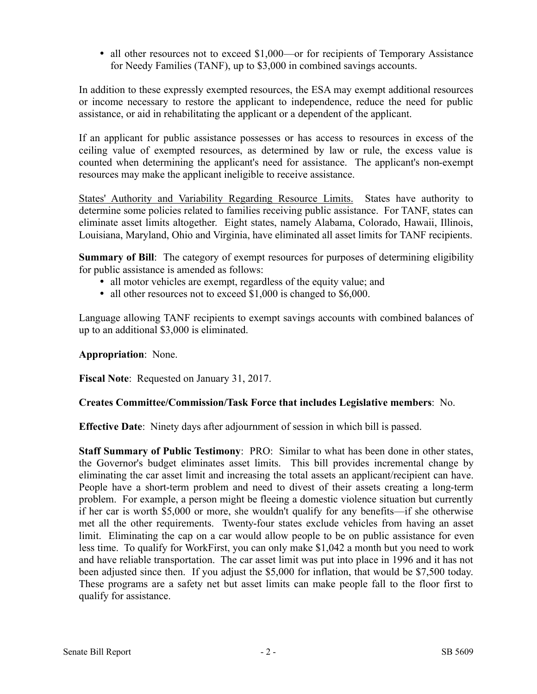• all other resources not to exceed \$1,000—or for recipients of Temporary Assistance for Needy Families (TANF), up to \$3,000 in combined savings accounts.

In addition to these expressly exempted resources, the ESA may exempt additional resources or income necessary to restore the applicant to independence, reduce the need for public assistance, or aid in rehabilitating the applicant or a dependent of the applicant.

If an applicant for public assistance possesses or has access to resources in excess of the ceiling value of exempted resources, as determined by law or rule, the excess value is counted when determining the applicant's need for assistance. The applicant's non-exempt resources may make the applicant ineligible to receive assistance.

States' Authority and Variability Regarding Resource Limits. States have authority to determine some policies related to families receiving public assistance. For TANF, states can eliminate asset limits altogether. Eight states, namely Alabama, Colorado, Hawaii, Illinois, Louisiana, Maryland, Ohio and Virginia, have eliminated all asset limits for TANF recipients.

**Summary of Bill:** The category of exempt resources for purposes of determining eligibility for public assistance is amended as follows:

- all motor vehicles are exempt, regardless of the equity value; and
- all other resources not to exceed \$1,000 is changed to \$6,000.

Language allowing TANF recipients to exempt savings accounts with combined balances of up to an additional \$3,000 is eliminated.

## **Appropriation**: None.

**Fiscal Note**: Requested on January 31, 2017.

## **Creates Committee/Commission/Task Force that includes Legislative members**: No.

**Effective Date**: Ninety days after adjournment of session in which bill is passed.

**Staff Summary of Public Testimony**: PRO: Similar to what has been done in other states, the Governor's budget eliminates asset limits. This bill provides incremental change by eliminating the car asset limit and increasing the total assets an applicant/recipient can have. People have a short-term problem and need to divest of their assets creating a long-term problem. For example, a person might be fleeing a domestic violence situation but currently if her car is worth \$5,000 or more, she wouldn't qualify for any benefits—if she otherwise met all the other requirements. Twenty-four states exclude vehicles from having an asset limit. Eliminating the cap on a car would allow people to be on public assistance for even less time. To qualify for WorkFirst, you can only make \$1,042 a month but you need to work and have reliable transportation. The car asset limit was put into place in 1996 and it has not been adjusted since then. If you adjust the \$5,000 for inflation, that would be \$7,500 today. These programs are a safety net but asset limits can make people fall to the floor first to qualify for assistance.